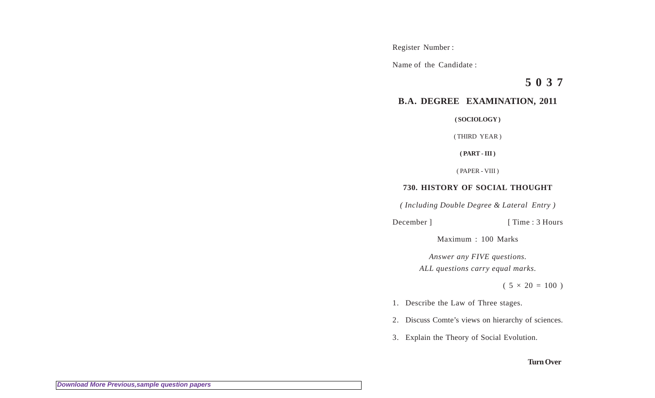Register Number :

Name of the Candidate :

**5 0 3 7**

## **B.A. DEGREE EXAMINATION, 2011**

**( SOCIOLOGY )**

( THIRD YEAR )

**( PART - III )**

( PAPER - VIII )

## **730. HISTORY OF SOCIAL THOUGHT**

*( Including Double Degree & Lateral Entry )*

December ] [ Time : 3 Hours

Maximum : 100 Marks

*Answer any FIVE questions. ALL questions carry equal marks.*

 $(5 \times 20 = 100)$ 

- 1. Describe the Law of Three stages.
- 2. Discuss Comte's views on hierarchy of sciences.
- 3. Explain the Theory of Social Evolution.

## **Turn Over**